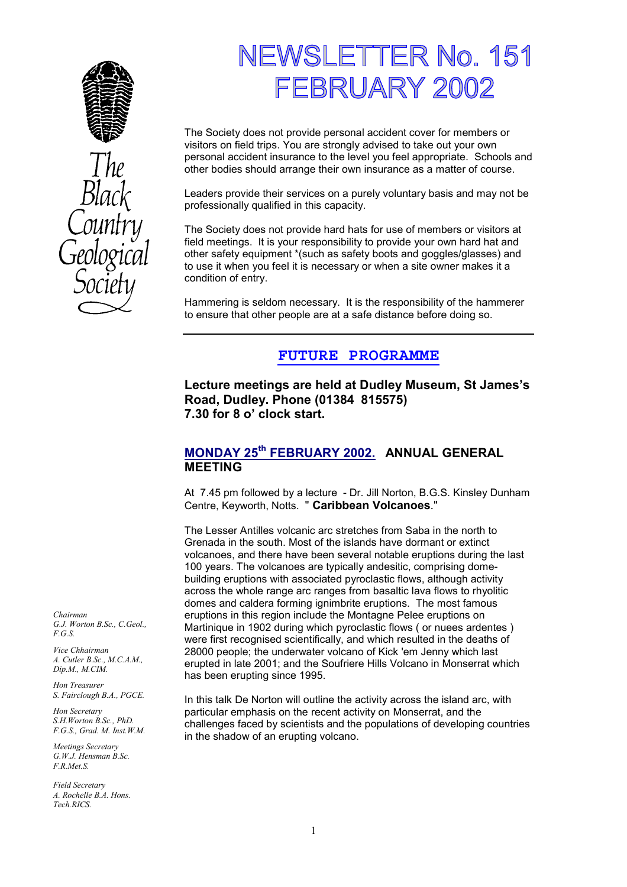



# NEWSLETTER No. 151 FEBRUARY 2002

The Society does not provide personal accident cover for members or visitors on field trips. You are strongly advised to take out your own personal accident insurance to the level you feel appropriate. Schools and other bodies should arrange their own insurance as a matter of course.

Leaders provide their services on a purely voluntary basis and may not be professionally qualified in this capacity.

The Society does not provide hard hats for use of members or visitors at field meetings. It is your responsibility to provide your own hard hat and other safety equipment \*(such as safety boots and goggles/glasses) and to use it when you feel it is necessary or when a site owner makes it a condition of entry.

Hammering is seldom necessary. It is the responsibility of the hammerer to ensure that other people are at a safe distance before doing so.

## **FUTURE PROGRAMME**

**Lecture meetings are held at Dudley Museum, St James's Road, Dudley. Phone (01384 815575) 7.30 for 8 o' clock start.** 

## **MONDAY 25th FEBRUARY 2002. ANNUAL GENERAL MEETING**

At 7.45 pm followed by a lecture - Dr. Jill Norton, B.G.S. Kinsley Dunham Centre, Keyworth, Notts. " **Caribbean Volcanoes**."

The Lesser Antilles volcanic arc stretches from Saba in the north to Grenada in the south. Most of the islands have dormant or extinct volcanoes, and there have been several notable eruptions during the last 100 years. The volcanoes are typically andesitic, comprising domebuilding eruptions with associated pyroclastic flows, although activity across the whole range arc ranges from basaltic lava flows to rhyolitic domes and caldera forming ignimbrite eruptions. The most famous eruptions in this region include the Montagne Pelee eruptions on Martinique in 1902 during which pyroclastic flows ( or nuees ardentes ) were first recognised scientifically, and which resulted in the deaths of 28000 people; the underwater volcano of Kick 'em Jenny which last erupted in late 2001; and the Soufriere Hills Volcano in Monserrat which has been erupting since 1995.

In this talk De Norton will outline the activity across the island arc, with particular emphasis on the recent activity on Monserrat, and the challenges faced by scientists and the populations of developing countries in the shadow of an erupting volcano.

*Chairman G.J. Worton B.Sc., C.Geol., F.G.S.* 

*Vice Chhairman A. Cutler B.Sc., M.C.A.M., Dip.M., M.CIM.* 

*Hon Treasurer S. Fairclough B.A., PGCE.* 

*Hon Secretary S.H.Worton B.Sc., PhD. F.G.S., Grad. M. Inst.W.M.* 

*Meetings Secretary G.W.J. Hensman B.Sc. F.R.Met.S.* 

*Field Secretary A. Rochelle B.A. Hons. Tech.RICS.*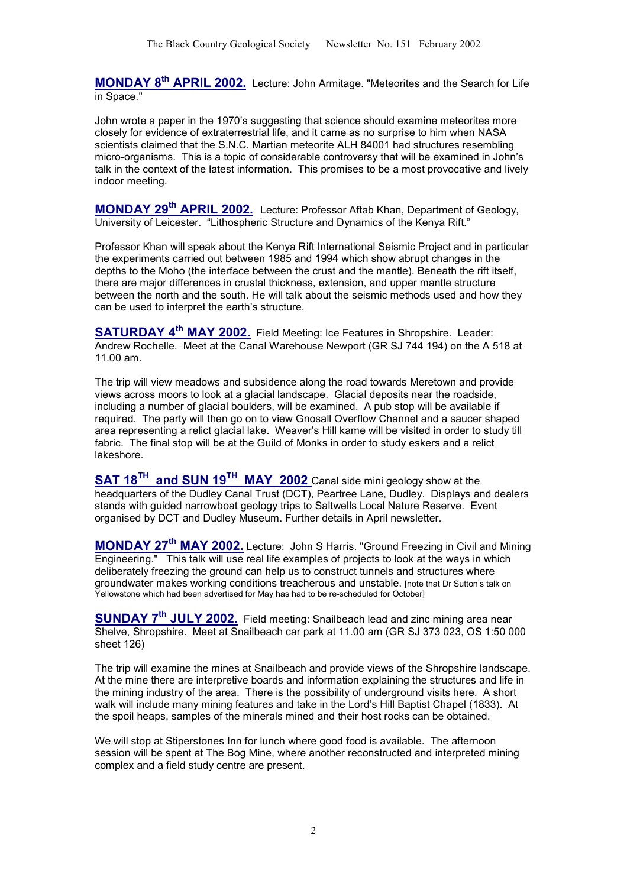**MONDAY 8th APRIL 2002.** Lecture: John Armitage. "Meteorites and the Search for Life in Space."

John wrote a paper in the 1970's suggesting that science should examine meteorites more closely for evidence of extraterrestrial life, and it came as no surprise to him when NASA scientists claimed that the S.N.C. Martian meteorite ALH 84001 had structures resembling micro-organisms. This is a topic of considerable controversy that will be examined in John's talk in the context of the latest information. This promises to be a most provocative and lively indoor meeting.

**MONDAY 29th APRIL 2002.** Lecture: Professor Aftab Khan, Department of Geology, University of Leicester. "Lithospheric Structure and Dynamics of the Kenya Rift."

Professor Khan will speak about the Kenya Rift International Seismic Project and in particular the experiments carried out between 1985 and 1994 which show abrupt changes in the depths to the Moho (the interface between the crust and the mantle). Beneath the rift itself, there are major differences in crustal thickness, extension, and upper mantle structure between the north and the south. He will talk about the seismic methods used and how they can be used to interpret the earth's structure.

**SATURDAY 4th MAY 2002.** Field Meeting: Ice Features in Shropshire. Leader: Andrew Rochelle. Meet at the Canal Warehouse Newport (GR SJ 744 194) on the A 518 at 11.00 am.

The trip will view meadows and subsidence along the road towards Meretown and provide views across moors to look at a glacial landscape. Glacial deposits near the roadside, including a number of glacial boulders, will be examined. A pub stop will be available if required. The party will then go on to view Gnosall Overflow Channel and a saucer shaped area representing a relict glacial lake. Weaver's Hill kame will be visited in order to study till fabric. The final stop will be at the Guild of Monks in order to study eskers and a relict lakeshore.

**SAT 18TH and SUN 19TH MAY 2002** Canal side mini geology show at the headquarters of the Dudley Canal Trust (DCT), Peartree Lane, Dudley. Displays and dealers stands with guided narrowboat geology trips to Saltwells Local Nature Reserve. Event organised by DCT and Dudley Museum. Further details in April newsletter.

**MONDAY 27th MAY 2002.** Lecture: John S Harris. "Ground Freezing in Civil and Mining Engineering." This talk will use real life examples of projects to look at the ways in which deliberately freezing the ground can help us to construct tunnels and structures where groundwater makes working conditions treacherous and unstable. [note that Dr Sutton's talk on Yellowstone which had been advertised for May has had to be re-scheduled for October]

**SUNDAY 7th JULY 2002.** Field meeting: Snailbeach lead and zinc mining area near Shelve, Shropshire. Meet at Snailbeach car park at 11.00 am (GR SJ 373 023, OS 1:50 000 sheet 126)

The trip will examine the mines at Snailbeach and provide views of the Shropshire landscape. At the mine there are interpretive boards and information explaining the structures and life in the mining industry of the area. There is the possibility of underground visits here. A short walk will include many mining features and take in the Lord's Hill Baptist Chapel (1833). At the spoil heaps, samples of the minerals mined and their host rocks can be obtained.

We will stop at Stiperstones Inn for lunch where good food is available. The afternoon session will be spent at The Bog Mine, where another reconstructed and interpreted mining complex and a field study centre are present.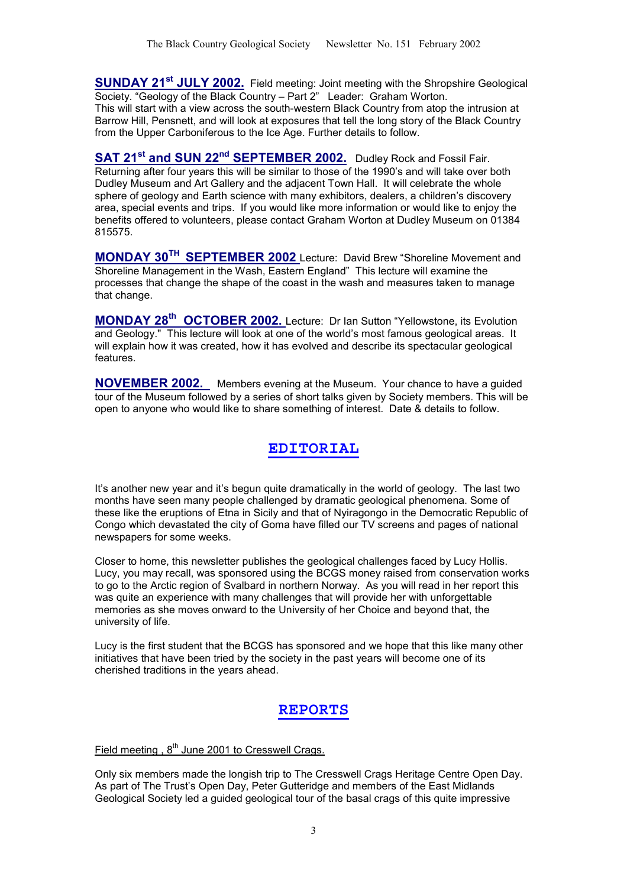**SUNDAY 21st JULY 2002.** Field meeting: Joint meeting with the Shropshire Geological Society. "Geology of the Black Country – Part 2" Leader: Graham Worton.

This will start with a view across the south-western Black Country from atop the intrusion at Barrow Hill, Pensnett, and will look at exposures that tell the long story of the Black Country from the Upper Carboniferous to the Ice Age. Further details to follow.

**SAT 21<sup>st</sup> and SUN 22<sup>nd</sup> SEPTEMBER 2002.** Dudley Rock and Fossil Fair. Returning after four years this will be similar to those of the 1990's and will take over both Dudley Museum and Art Gallery and the adjacent Town Hall. It will celebrate the whole sphere of geology and Earth science with many exhibitors, dealers, a children's discovery area, special events and trips. If you would like more information or would like to enjoy the benefits offered to volunteers, please contact Graham Worton at Dudley Museum on 01384 815575.

**MONDAY 30TH SEPTEMBER 2002** Lecture: David Brew "Shoreline Movement and Shoreline Management in the Wash, Eastern England" This lecture will examine the processes that change the shape of the coast in the wash and measures taken to manage that change.

**MONDAY 28th OCTOBER 2002.** Lecture: Dr Ian Sutton "Yellowstone, its Evolution and Geology." This lecture will look at one of the world's most famous geological areas. It will explain how it was created, how it has evolved and describe its spectacular geological features.

**NOVEMBER 2002.** Members evening at the Museum. Your chance to have a guided tour of the Museum followed by a series of short talks given by Society members. This will be open to anyone who would like to share something of interest. Date & details to follow.

## **EDITORIAL**

It's another new year and it's begun quite dramatically in the world of geology. The last two months have seen many people challenged by dramatic geological phenomena. Some of these like the eruptions of Etna in Sicily and that of Nyiragongo in the Democratic Republic of Congo which devastated the city of Goma have filled our TV screens and pages of national newspapers for some weeks.

Closer to home, this newsletter publishes the geological challenges faced by Lucy Hollis. Lucy, you may recall, was sponsored using the BCGS money raised from conservation works to go to the Arctic region of Svalbard in northern Norway. As you will read in her report this was quite an experience with many challenges that will provide her with unforgettable memories as she moves onward to the University of her Choice and beyond that, the university of life.

Lucy is the first student that the BCGS has sponsored and we hope that this like many other initiatives that have been tried by the society in the past years will become one of its cherished traditions in the years ahead.

# **REPORTS**

Field meeting ,  $8<sup>th</sup>$  June 2001 to Cresswell Crags.

Only six members made the longish trip to The Cresswell Crags Heritage Centre Open Day. As part of The Trust's Open Day, Peter Gutteridge and members of the East Midlands Geological Society led a guided geological tour of the basal crags of this quite impressive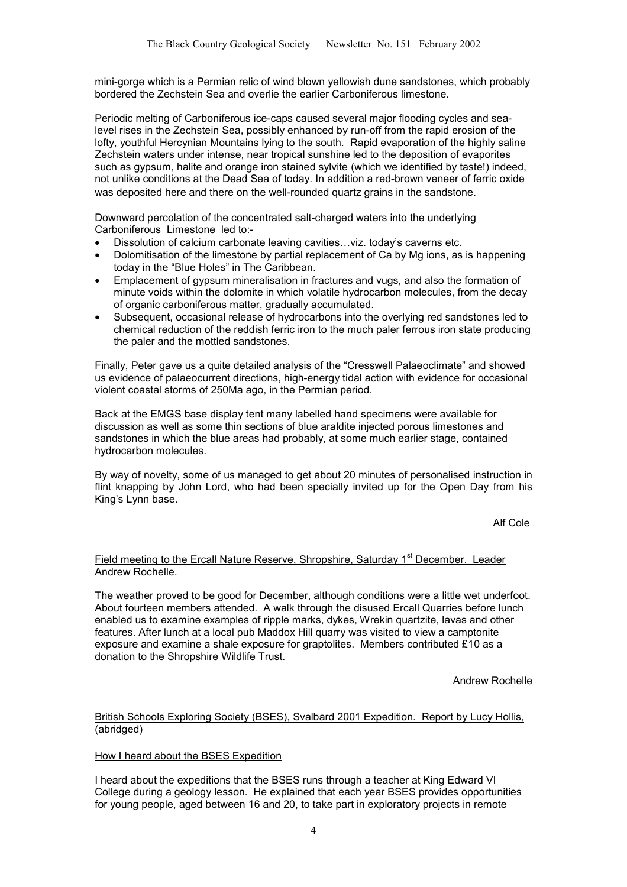mini-gorge which is a Permian relic of wind blown yellowish dune sandstones, which probably bordered the Zechstein Sea and overlie the earlier Carboniferous limestone.

Periodic melting of Carboniferous ice-caps caused several major flooding cycles and sealevel rises in the Zechstein Sea, possibly enhanced by run-off from the rapid erosion of the lofty, youthful Hercynian Mountains lying to the south. Rapid evaporation of the highly saline Zechstein waters under intense, near tropical sunshine led to the deposition of evaporites such as gypsum, halite and orange iron stained sylvite (which we identified by taste!) indeed, not unlike conditions at the Dead Sea of today. In addition a red-brown veneer of ferric oxide was deposited here and there on the well-rounded quartz grains in the sandstone.

Downward percolation of the concentrated salt-charged waters into the underlying Carboniferous Limestone led to:-

- Dissolution of calcium carbonate leaving cavities…viz. today's caverns etc.
- Dolomitisation of the limestone by partial replacement of Ca by Mg ions, as is happening today in the "Blue Holes" in The Caribbean.
- Emplacement of gypsum mineralisation in fractures and vugs, and also the formation of minute voids within the dolomite in which volatile hydrocarbon molecules, from the decay of organic carboniferous matter, gradually accumulated.
- Subsequent, occasional release of hydrocarbons into the overlying red sandstones led to chemical reduction of the reddish ferric iron to the much paler ferrous iron state producing the paler and the mottled sandstones.

Finally, Peter gave us a quite detailed analysis of the "Cresswell Palaeoclimate" and showed us evidence of palaeocurrent directions, high-energy tidal action with evidence for occasional violent coastal storms of 250Ma ago, in the Permian period.

Back at the EMGS base display tent many labelled hand specimens were available for discussion as well as some thin sections of blue araldite injected porous limestones and sandstones in which the blue areas had probably, at some much earlier stage, contained hydrocarbon molecules.

By way of novelty, some of us managed to get about 20 minutes of personalised instruction in flint knapping by John Lord, who had been specially invited up for the Open Day from his King's Lynn base.

Alf Cole

## Field meeting to the Ercall Nature Reserve, Shropshire, Saturday 1<sup>st</sup> December. Leader Andrew Rochelle.

The weather proved to be good for December, although conditions were a little wet underfoot. About fourteen members attended. A walk through the disused Ercall Quarries before lunch enabled us to examine examples of ripple marks, dykes, Wrekin quartzite, lavas and other features. After lunch at a local pub Maddox Hill quarry was visited to view a camptonite exposure and examine a shale exposure for graptolites. Members contributed £10 as a donation to the Shropshire Wildlife Trust.

Andrew Rochelle

#### British Schools Exploring Society (BSES), Svalbard 2001 Expedition. Report by Lucy Hollis, (abridged)

### How I heard about the BSES Expedition

I heard about the expeditions that the BSES runs through a teacher at King Edward VI College during a geology lesson. He explained that each year BSES provides opportunities for young people, aged between 16 and 20, to take part in exploratory projects in remote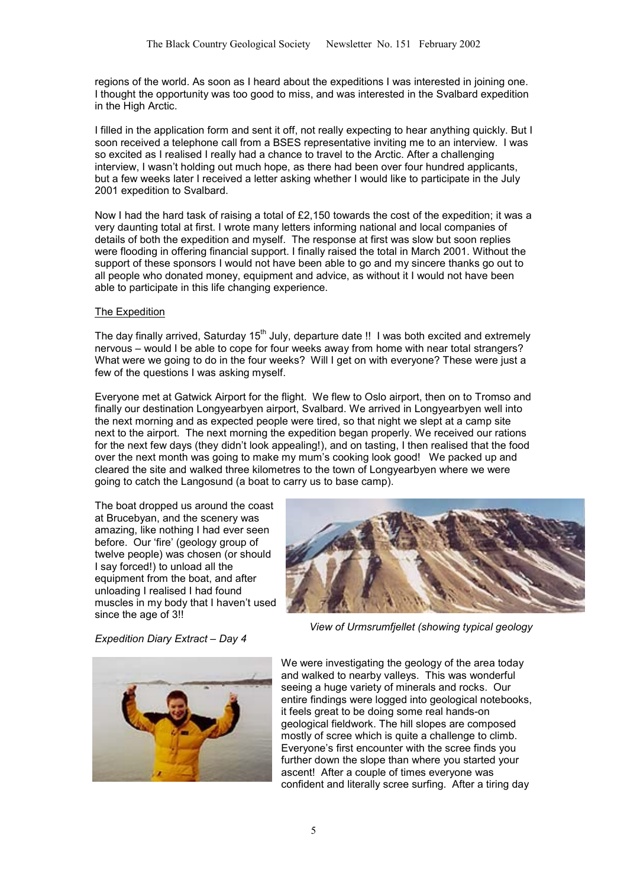regions of the world. As soon as I heard about the expeditions I was interested in joining one. I thought the opportunity was too good to miss, and was interested in the Svalbard expedition in the High Arctic.

I filled in the application form and sent it off, not really expecting to hear anything quickly. But I soon received a telephone call from a BSES representative inviting me to an interview. I was so excited as I realised I really had a chance to travel to the Arctic. After a challenging interview, I wasn't holding out much hope, as there had been over four hundred applicants, but a few weeks later I received a letter asking whether I would like to participate in the July 2001 expedition to Svalbard.

Now I had the hard task of raising a total of £2,150 towards the cost of the expedition; it was a very daunting total at first. I wrote many letters informing national and local companies of details of both the expedition and myself. The response at first was slow but soon replies were flooding in offering financial support. I finally raised the total in March 2001. Without the support of these sponsors I would not have been able to go and my sincere thanks go out to all people who donated money, equipment and advice, as without it I would not have been able to participate in this life changing experience.

#### The Expedition

The day finally arrived, Saturday  $15<sup>th</sup>$  July, departure date !! I was both excited and extremely nervous – would I be able to cope for four weeks away from home with near total strangers? What were we going to do in the four weeks? Will I get on with everyone? These were just a few of the questions I was asking myself.

Everyone met at Gatwick Airport for the flight. We flew to Oslo airport, then on to Tromso and finally our destination Longyearbyen airport, Svalbard. We arrived in Longyearbyen well into the next morning and as expected people were tired, so that night we slept at a camp site next to the airport. The next morning the expedition began properly. We received our rations for the next few days (they didn't look appealing!), and on tasting, I then realised that the food over the next month was going to make my mum's cooking look good! We packed up and cleared the site and walked three kilometres to the town of Longyearbyen where we were going to catch the Langosund (a boat to carry us to base camp).

The boat dropped us around the coast at Brucebyan, and the scenery was amazing, like nothing I had ever seen before. Our 'fire' (geology group of twelve people) was chosen (or should I say forced!) to unload all the equipment from the boat, and after unloading I realised I had found muscles in my body that I haven't used since the age of 3!!



*Expedition Diary Extract – Day 4* 

*View of Urmsrumfjellet (showing typical geology* 



We were investigating the geology of the area today and walked to nearby valleys. This was wonderful seeing a huge variety of minerals and rocks. Our entire findings were logged into geological notebooks, it feels great to be doing some real hands-on geological fieldwork. The hill slopes are composed mostly of scree which is quite a challenge to climb. Everyone's first encounter with the scree finds you further down the slope than where you started your ascent! After a couple of times everyone was confident and literally scree surfing. After a tiring day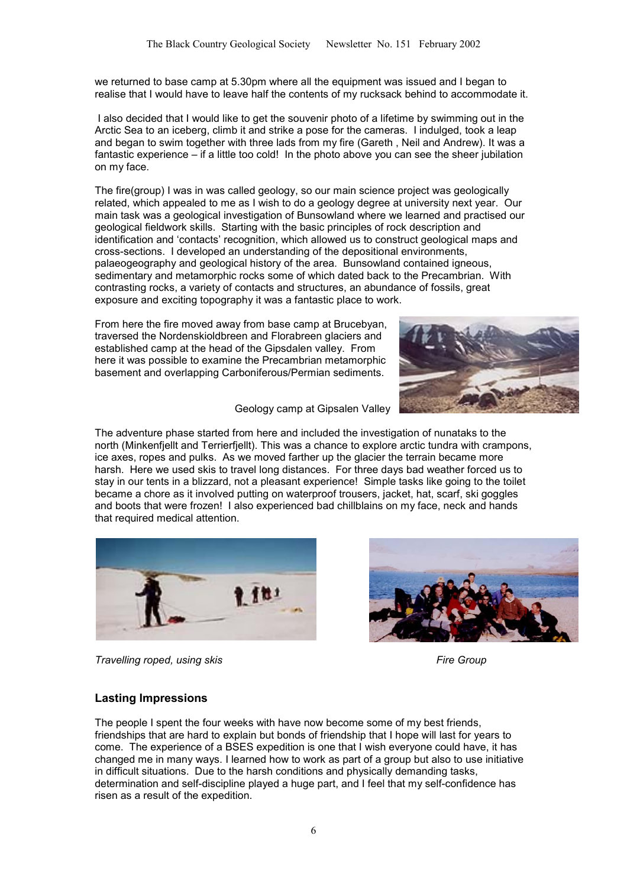we returned to base camp at 5.30pm where all the equipment was issued and I began to realise that I would have to leave half the contents of my rucksack behind to accommodate it.

 I also decided that I would like to get the souvenir photo of a lifetime by swimming out in the Arctic Sea to an iceberg, climb it and strike a pose for the cameras. I indulged, took a leap and began to swim together with three lads from my fire (Gareth , Neil and Andrew). It was a fantastic experience – if a little too cold! In the photo above you can see the sheer jubilation on my face.

The fire(group) I was in was called geology, so our main science project was geologically related, which appealed to me as I wish to do a geology degree at university next year. Our main task was a geological investigation of Bunsowland where we learned and practised our geological fieldwork skills. Starting with the basic principles of rock description and identification and 'contacts' recognition, which allowed us to construct geological maps and cross-sections. I developed an understanding of the depositional environments, palaeogeography and geological history of the area. Bunsowland contained igneous, sedimentary and metamorphic rocks some of which dated back to the Precambrian. With contrasting rocks, a variety of contacts and structures, an abundance of fossils, great exposure and exciting topography it was a fantastic place to work.

From here the fire moved away from base camp at Brucebyan, traversed the Nordenskioldbreen and Florabreen glaciers and established camp at the head of the Gipsdalen valley. From here it was possible to examine the Precambrian metamorphic basement and overlapping Carboniferous/Permian sediments.



Geology camp at Gipsalen Valley

The adventure phase started from here and included the investigation of nunataks to the north (Minkenfjellt and Terrierfjellt). This was a chance to explore arctic tundra with crampons, ice axes, ropes and pulks. As we moved farther up the glacier the terrain became more harsh. Here we used skis to travel long distances. For three days bad weather forced us to stay in our tents in a blizzard, not a pleasant experience! Simple tasks like going to the toilet became a chore as it involved putting on waterproof trousers, jacket, hat, scarf, ski goggles and boots that were frozen! I also experienced bad chillblains on my face, neck and hands that required medical attention.







## **Lasting Impressions**

The people I spent the four weeks with have now become some of my best friends, friendships that are hard to explain but bonds of friendship that I hope will last for years to come. The experience of a BSES expedition is one that I wish everyone could have, it has changed me in many ways. I learned how to work as part of a group but also to use initiative in difficult situations. Due to the harsh conditions and physically demanding tasks, determination and self-discipline played a huge part, and I feel that my self-confidence has risen as a result of the expedition.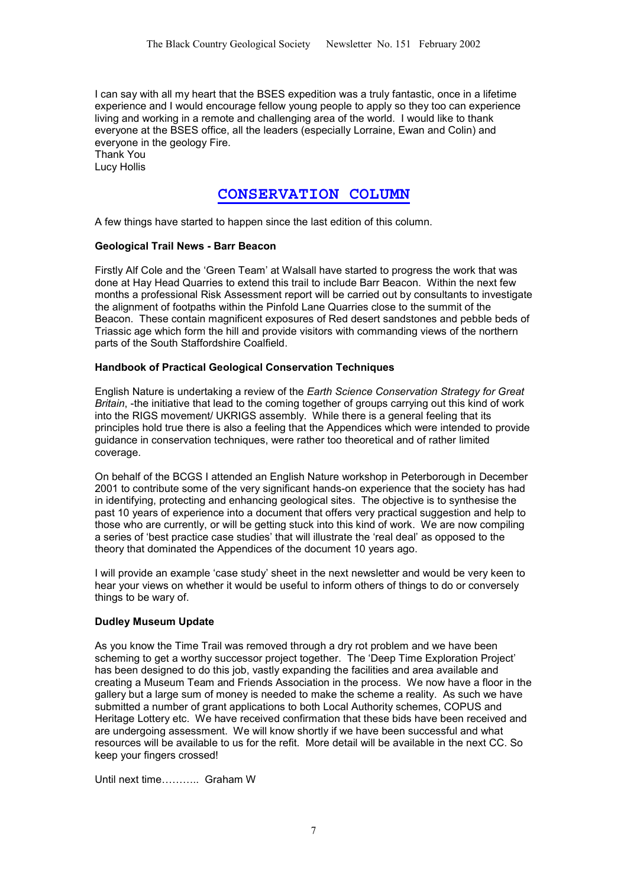I can say with all my heart that the BSES expedition was a truly fantastic, once in a lifetime experience and I would encourage fellow young people to apply so they too can experience living and working in a remote and challenging area of the world. I would like to thank everyone at the BSES office, all the leaders (especially Lorraine, Ewan and Colin) and everyone in the geology Fire.

Thank You Lucy Hollis

## **CONSERVATION COLUMN**

A few things have started to happen since the last edition of this column.

### **Geological Trail News - Barr Beacon**

Firstly Alf Cole and the 'Green Team' at Walsall have started to progress the work that was done at Hay Head Quarries to extend this trail to include Barr Beacon. Within the next few months a professional Risk Assessment report will be carried out by consultants to investigate the alignment of footpaths within the Pinfold Lane Quarries close to the summit of the Beacon. These contain magnificent exposures of Red desert sandstones and pebble beds of Triassic age which form the hill and provide visitors with commanding views of the northern parts of the South Staffordshire Coalfield.

### **Handbook of Practical Geological Conservation Techniques**

English Nature is undertaking a review of the *Earth Science Conservation Strategy for Great Britain*, -the initiative that lead to the coming together of groups carrying out this kind of work into the RIGS movement/ UKRIGS assembly. While there is a general feeling that its principles hold true there is also a feeling that the Appendices which were intended to provide guidance in conservation techniques, were rather too theoretical and of rather limited coverage.

On behalf of the BCGS I attended an English Nature workshop in Peterborough in December 2001 to contribute some of the very significant hands-on experience that the society has had in identifying, protecting and enhancing geological sites. The objective is to synthesise the past 10 years of experience into a document that offers very practical suggestion and help to those who are currently, or will be getting stuck into this kind of work. We are now compiling a series of 'best practice case studies' that will illustrate the 'real deal' as opposed to the theory that dominated the Appendices of the document 10 years ago.

I will provide an example 'case study' sheet in the next newsletter and would be very keen to hear your views on whether it would be useful to inform others of things to do or conversely things to be wary of.

### **Dudley Museum Update**

As you know the Time Trail was removed through a dry rot problem and we have been scheming to get a worthy successor project together. The 'Deep Time Exploration Project' has been designed to do this job, vastly expanding the facilities and area available and creating a Museum Team and Friends Association in the process. We now have a floor in the gallery but a large sum of money is needed to make the scheme a reality. As such we have submitted a number of grant applications to both Local Authority schemes, COPUS and Heritage Lottery etc. We have received confirmation that these bids have been received and are undergoing assessment. We will know shortly if we have been successful and what resources will be available to us for the refit. More detail will be available in the next CC. So keep your fingers crossed!

Until next time……….. Graham W